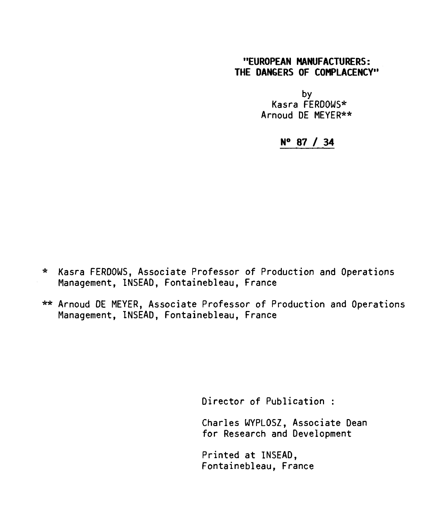## **"EUROPEAN MANUFACTURERS: THE DANGERS OF COMPLACENCY"**

by Kasra FERDOWS\* Arnoud DE MEYER\*\*

## **N° 87 / 34**

- \* Kasra FERDOWS, Associate Professor of Production and Operations Management, INSEAD, Fontainebleau, France
- \*\* Arnoud DE MEYER, Associate Professor of Production and Operations Management, INSEAD, Fontainebleau, France

Director of Publication :

Charles WYPLOSZ, Associate Dean for Research and Development

Printed at INSEAD, Fontainebleau, France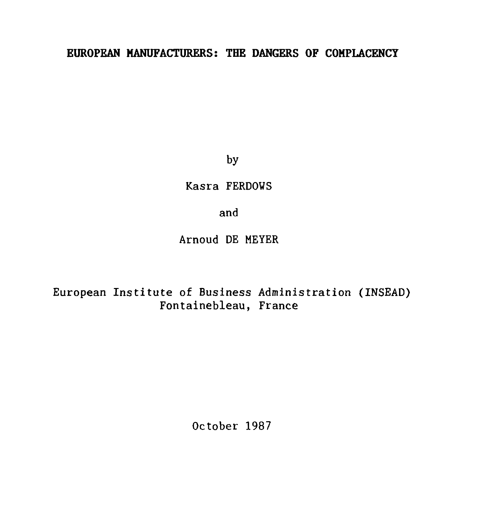## **EUROPEAN MANUFACTURERS: THE DANGERS OF COMPLACENCY**

by

Kasra FERDOWS

and

Arnoud DE MEYER

European Institute of Business Administration (INSEAD) Fontainebleau, France

October 1987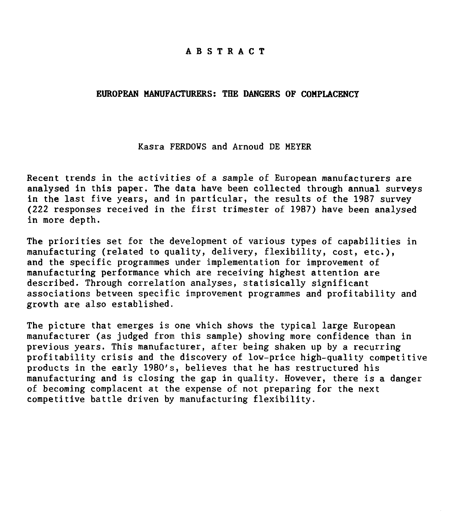### **ABSTRACT**

#### **EUROPEAN MANUFACTURERS: THE DANGERS OF COMPLACENCY**

### Kasra FERDOWS and Arnoud DE MEYER

Recent trends in the activities of a sample of European manufacturers are analysed in this paper. The data have been collected through annual surveys in the last five years, and in particular, the results of the 1987 survey (222 responses received in the first trimester of 1987) have been analysed in more depth.

The priorities set for the development of various types of capabilities in manufacturing (related to quality, delivery, flexibility, cost, etc.), and the specific programmes under implementation for improvement of manufacturing performance which are receiving highest attention are described. Through correlation analyses, statisically significant associations between specific improvement programmes and profitability and growth are also established.

The picture that emerges is one which shows the typical large European manufacturer (as judged from this sample) showing more confidence than in previous years. This manufacturer, after being shaken up by a recurring profitability crisis and the discovery of low-price high-quality competitive products in the early 1980's, believes that he has restructured his manufacturing and is closing the gap in quality. However, there is a danger of becoming complacent at the expense of not preparing for the next competitive battle driven by manufacturing flexibility.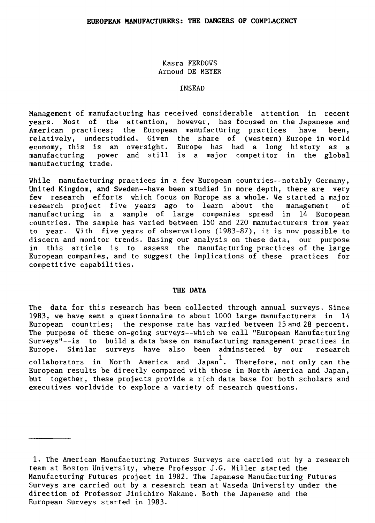Kasra FERDOWS Arnoud DE MEYER

### INSEAD

Management of manufacturing has received considerable attention in recent years. Most of the attention, however, has focused on the Japanese and American practices; the European manufacturing practices have been, relatively, understudied. Given the share of (western) Europe in world economy, this is an oversight. Europe has had a long history as a manufacturing power and still is a major competitor in the global manufacturing trade.

While manufacturing practices in a few European countries--notably Germany, United Kingdom, and Sweden--have been studied in more depth, there are very few research efforts which focus on Europe as a whole. We started a major research project five years ago to learn about the management of manufacturing in a sample of large companies spread in 14 European countries. The sample has varied between 150 and 220 manufacturers from year to year. With five years of observations (1983-87), it is now possible to discern and monitor trends. Basing our analysis on these data, our purpose in this article is to assess the manufacturing practices of the large European companies, and to suggest the implications of these practices for competitive capabilities.

### **THE DATA**

The data for this research has been collected through annual surveys. Since 1983, we have sent a questionnaire to about 1000 large manufacturers in 14 European countries; the response rate has varied between 15 and 28 percent. The purpose of these on-going surveys--which we call "European Manufacturing Surveys"--is to build a data base on manufacturing management practices in Europe. Similar surveys have also been adminstered by our research collaborators in North America and Japan $^1\cdot$  Therefore, not-only-can-the-European results be directly compared with those in North America and Japan, but together, these projects provide a rich data base for both scholars and executives worldwide to explore a variety of research questions.

<sup>1.</sup> The American Manufacturing Futures Surveys are carried out by a research team at Boston University, where Professor J.G. Miller started the Manufacturing Futures project in 1982. The Japanese Manufacturing Futures Surveys are carried out by a research team at Waseda University under the direction of Professor Jinichiro Nakane. Both the Japanese and the European Surveys started in 1983.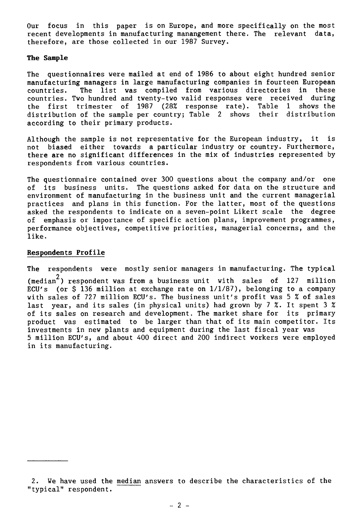Our focus in this paper is on Europe, and more specifically on the most recent developments in manufacturing manangement there. The relevant data, therefore, are those collected in our 1987 Survey.

### **The Sample**

The questionnaires were mailed at end of 1986 to about eight hundred senior manufacturing managers in large manufacturing companies in fourteen European countries. The list was compiled from various directories in these countries. Two hundred and twenty-two valid responses were received during the first trimester of 1987 (28% response rate). Table 1 shows the distribution of the sample per country; Table 2 shows their distribution according to their primary products.

Although the sample is not representative for the European industry, it is not biased either towards a particular industry or country. Furthermore, there are no significant differences in the mix of industries represented by respondents from various countries.

The questionnaire contained over 300 questions about the company and/or one of its business units. The questions asked for data on the structure and environment of manufacturing in the business unit and the current managerial practices and plans in this function. For the latter, most of the questions asked the respondents to indicate on a seven-point Likert scale the degree of emphasis or importance of specific action plans, improvement programmes, performance objectives, competitive priorities, managerial concerns, and the like.

### **Respondents Profile**

The respondents were mostly senior managers in manufacturing. The typical

(median<sup>2</sup> ) respondent was from a business unit with sales of 127 million ECU's (or  $\frac{136}{136}$  million at exchange rate on  $1/1/87$ ), belonging to a company with sales of 727 million ECU's. The business unit's profit was 5 % of sales last year, and its sales (in physical units) had grown by 7 %. It spent 3 % of its sales on research and development. The market share for its primary product was estimated to be larger than that of its main competitor. Its investments in new plants and equipment during the last fiscal year was 5 million ECU's, and about 400 direct and 200 indirect workers were employed in its manufacturing.

<sup>2.</sup> We have used the median answers to describe the characteristics of the "typical" respondent.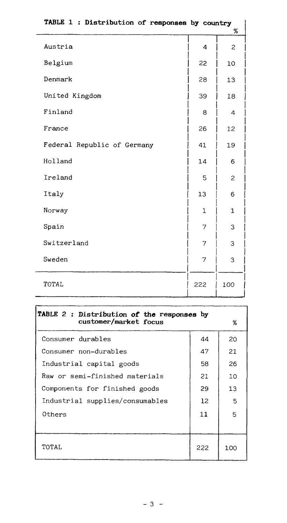| TABLE 1 : Distribution of responses by country |     | %            |
|------------------------------------------------|-----|--------------|
| Austria                                        | 4   | 2            |
| Belgium                                        | 22  | 10           |
| Denmark                                        | 28  | 13           |
| United Kingdom                                 | 39  | 18           |
| Finland                                        | 8   | 4            |
| France                                         | 26  | 12           |
| Federal Republic of Germany                    | 41  | 19           |
| Holland                                        | 14  | 6            |
| Ireland                                        | 5   | 2            |
| Italy                                          | 13  | 6            |
| Norway                                         | 1   | $\mathbf{1}$ |
| Spain                                          | 7   | 3            |
| Switzerland                                    | 7   | 3            |
| Sweden                                         | 7   | 3            |
| TOTAL                                          | 222 | 100          |

| TABLE 2 : Distribution of the responses by<br>customer/market focus |     | %   |
|---------------------------------------------------------------------|-----|-----|
| Consumer durables                                                   | 44  | 20  |
| Consumer non-durables                                               | 47  | 21  |
| Industrial capital goods                                            | 58  | 26  |
| Raw or semi-finished materials                                      | 21  | 10  |
| Components for finished goods                                       | 29  | 13  |
| Industrial supplies/consumables                                     | 12  | 5   |
| Others                                                              | 11  | 5   |
|                                                                     |     |     |
| TOTAL                                                               | 222 | 100 |

٦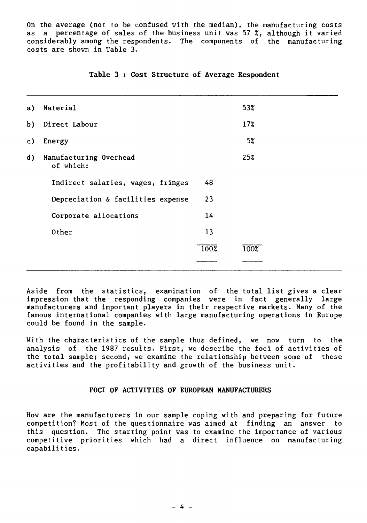On the average (not to be confused with the median), the manufacturing costs as a percentage of sales of the business unit was 57 %, although it varied considerably among the respondents. The components of the manufacturing costs are shown in Table 3.

| a)             | Material                            |                 | 53%  |
|----------------|-------------------------------------|-----------------|------|
| b)             | Direct Labour                       |                 | 17%  |
| c)             | Energy                              |                 | 5%   |
| $\mathbf{d}$ ) | Manufacturing Overhead<br>of which: |                 | 25%  |
|                | Indirect salaries, wages, fringes   | 48              |      |
|                | Depreciation & facilities expense   | 23              |      |
|                | Corporate allocations               | 14              |      |
|                | Other                               | 13              |      |
|                |                                     | $\frac{100}{8}$ | 100% |
|                |                                     |                 |      |

## **Table 3 : Cost Structure of Average Respondent**

Aside from the statistics, examination of the total list gives a clear impression that the responding companies were in fact generally large manufacturers and important players in their respective markets. Many of the famous international companies with large manufacturing operations in Europe could be found in the sample.

With the characteristics of the sample thus defined, we now turn to the analysis of the 1987 results. First, we describe the foci of activities of the total sample; second, we examine the relationship between some of these activities and the profitability and growth of the business unit.

## **FOCI OF ACTIVITIES OF EUROPEAN MANUFACTURERS**

How are the manufacturers in our sample coping with and preparing for future competition? Most of the questionnaire was aimed at finding an answer to this question. The starting point was to examine the importance of various competitive priorities which had a direct influence on manufacturing capabilities.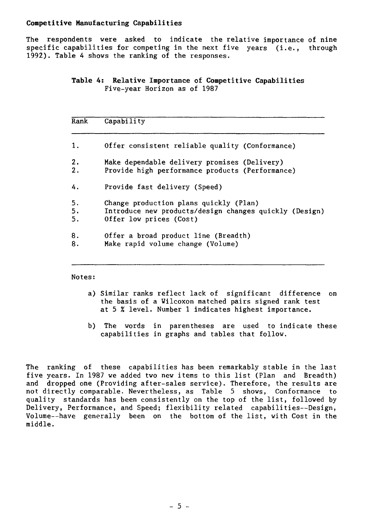### **Competitive Manufacturing Capabilities**

**The** respondents were asked to indicate the relative importance of nine specific capabilities for competing in the next five years (i.e., through 1992). Table 4 shows the ranking of the responses.

# **Table 4: Relative Importance of Competitive Capabilities**  Five-year Horizon as of 1987

| Rank | Capability                                             |
|------|--------------------------------------------------------|
| 1.   | Offer consistent reliable quality (Conformance)        |
| 2.   | Make dependable delivery promises (Delivery)           |
| 2.   | Provide high performance products (Performance)        |
| 4.   | Provide fast delivery (Speed)                          |
| 5.   | Change production plans quickly (Plan)                 |
| 5.   | Introduce new products/design changes quickly (Design) |
| 5.   | Offer low prices (Cost)                                |
| 8.   | Offer a broad product line (Breadth)                   |
| 8.   | Make rapid volume change (Volume)                      |

Notes:

- a) Similar ranks reflect lack of significant difference on the basis of a Wilcoxon matched pairs signed rank test at 5 % level. Number 1 indicates highest importance.
- b) The words in parentheses are used to indicate these capabilities in graphs and tables that follow.

The ranking of these capabilities has been remarkably stable in the last five years. In 1987 we added two new items to this list (Plan and Breadth) and dropped one (Providing after-sales service). Therefore, the results are not directly comparable. Nevertheless, as Table 5 shows, Conformance to quality standards has been consistently on the top of the list, followed by Delivery, Performance, and Speed; flexibility related capabilities--Design, Volume--have generally been on the bottom of the list, with Cost in the middle.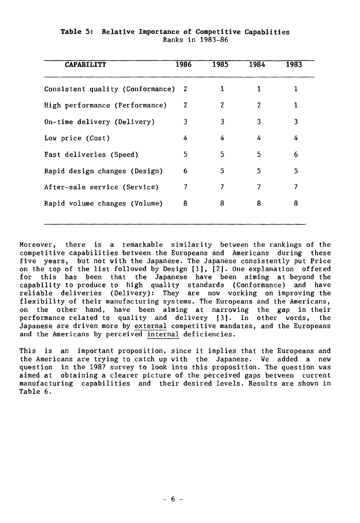| <b>CAPABILITY</b>                  | 1986 | 1985 | 1984 | 1983 |
|------------------------------------|------|------|------|------|
| Consistent quality (Conformance) 2 |      | 1    | 1    |      |
| High performance (Performance)     | 2    | 2    | 2    | 1    |
| On-time delivery (Delivery)        | 3    | 3    | 3    | 3    |
| Low price (Cost)                   | 4    | 4    | 4    | 4    |
| Fast deliveries (Speed)            | 5    | 5    | 5    | 6    |
| Rapid design changes (Design)      | 6    | 5    | 5    | 5    |
| After-sale service (Service)       | 7    | 7    | 7    | 7    |
| Rapid volume changes (Volume)      | 8    | 8    | 8    | 8    |

## **Table 5: Relative Importance of Competitive Capablities**  Ranks in 1983-86

Moreover, there is a remarkable similarity between the rankings of the competitive capabilities between the Europeans and Americans during these five years, but not with the Japanese. The Japanese consistently put Price on the top of the list followed by Design [1], [2]. One explanation offered for this has been that the Japanese have been aiming at beyond the capability to produce to high quality standards (Conformance) and have reliable deliveries (Delivery): They are now working on improving the flexibility of their manufacturing systems. The Europeans and the Americans, on the other band, have been aiming at narrowing the gap in their performance related to quality and delivery [3]. In other words, the Japanese are driven more by external competitive mandates, and the Europeans and the Americans by perceived internal deficiencies.

This is an important proposition, since it implies that the Europeans and the Americans are trying to catch up with the Japanese. We added a new question in the 1987 survey to look into this proposition. The question was aimed at obtaining a clearer picture of the perceived gaps between current manufacturing capabilities and their desired levels. Results are shown in Table 6.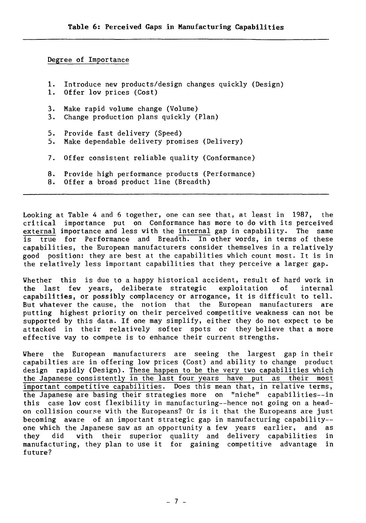## Degree of Importance

1. Introduce new products/design changes quickly (Design) 1. Offer low prices (Cost) 3. Make rapid volume change (Volume) 3. Change production plans quickly (Plan) 5. Provide fast delivery (Speed) 5. Make dependable delivery promises (Delivery) 7. Offer consistent reliable quality (Conformance) 8. Provide high performance products (Performance)<br>8. Offer a broad product line (Breadth) Offer a broad product line (Breadth)

Looking at Table 4 and 6 together, one can see that, at least in 1987, the critical importance put on Conformance has more to do with its perceived external importance and less with the internal gap in capability. The same is true for Performance and Breadth. In other words, in terms of these capabilities, the European manufacturers consider themselves in a relatively good position: they are best at the capabilities which count most. It is in the relatively less important capabilities that they perceive a larger gap.

Whether this is due to a happy historical accident, result of hard work in the last few years, deliberate strategic exploitation of internal capabilities, or possibly complacency or arrogance, it is difficult to tell. But whatever the cause, the notion that the European manufacturers are putting highest priority on their perceived competitive weakness can not be supported by this data. If one may simplify, either they do not expect to be attacked in their relatively softer spots or they believe that a more effective way to compete is to enhance their current strengths.

Where the European manufacturers are seeing the largest gap in their capabilties are in offering low prices (Cost) and ability to change product design rapidly (Design). These happen to be the very two capabilities which<br>the Japanese consistently in the last four years have put as their most the Japanese consistently in the last four years have put as their important competitive capabilities. Does this mean that, in relative terms, the Japanese are basing their strategies more on "niche" capabilities--in this case low cost flexibility in manufacturing--hence not going on a headon collision course with the Europeans? Or is it that the Europeans are just becoming aware of an important strategic gap in manufacturing capability- one which the Japanese saw as an opportunity a few years earlier, and as they did with their superior quality and delivery capabilities in manufacturing, they plan to use it for gaining competitive advantage in future?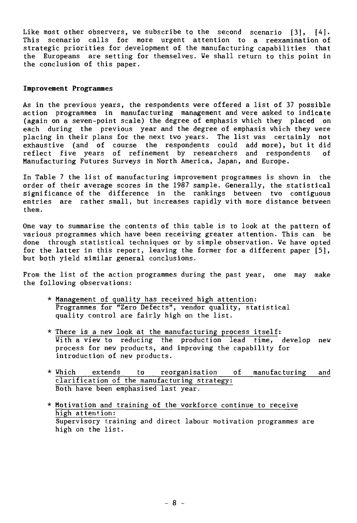Like most other observers, we subscribe to the second scenario [3], [4]. This scenario calls for more urgent attention to a reexamination of strategic priorities for development of the manufacturing capabilities that the Europeans are setting for themselves. We shall return to this point in the conclusion of this paper.

### **Improvement Programmes**

As in the previous years, the respondents were offered a list of 37 possible action programmes in manufacturing management and were asked to indicate (again on a seven-point scale) the degree of emphasis which they placed on each during the previous year and the degree of emphasis which they were placing in their plans for the next two years. The list was certainly not exhaustive (and of course the respondents could add more), but it did reflect five years of refinement by researchers and respondents of Manufacturing Futures Surveys in North America, Japan, and Europe.

In Table 7 the list of manufacturing improvement programmes is shown in the order of their average scores in the 1987 sample. Generally, the statistical significance of the difference in the rankings between two contiguous entries are rather small, but increases rapidly with more distance between them.

One way to summarise the contents of this table is to look at the pattern of various programmes which have been receiving greater attention. This can be done through statistical techniques or by simple observation. We have opted for the latter in this report, leaving the former for a different paper [5], but both yield similar general conclusions.

From the list of the action programmes during the past year, one may make the following observations:

- \* Management of quality has received high attention: Programmes for "Zero Defects", vendor quality, statistical quality control are fairly high on the list.
- \* There is a new look at the manufacturing process itself: With a view to reducing the production lead time, develop new process for new products, and improving the capability for introduction of new products.
- \* Which extends to reorganisation of manufacturing and clarification of the manufacturing strategy: Both have been emphasised last year.
- \* Motivation and training of the workforce continue to receive high attention: Supervisory training and direct labour motivation programmes are high on the list.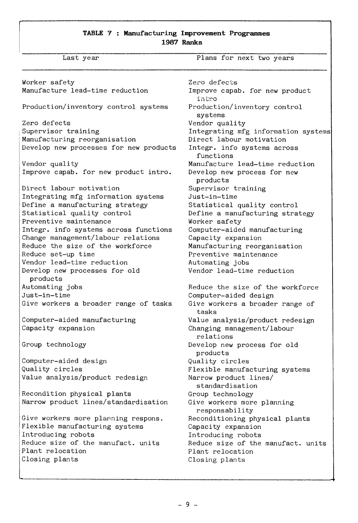## **TABLE 7 : Manufacturing Improvement Programmes 1987 Ranks**

Last year **Plans** for next two years

Worker safety Manufacture lead-time reduction Production/inventory control systems Zero defects Supervisor training Manufacturing reorganisation Develop new processes for new products Vendor quality Improve capab. for new product intro. Direct labour motivation Integrating mfg information systems Define a manufacturing strategy Statistical quality control Preventive maintenance Integr. info systems across functions Change management/labour relations Reduce the size of the workforce Reduce set-up time Vendor lead-time reduction Develop new processes for old products Automating jobs Just-in-time Give workers a broader range of tasks Computer-aided manufacturing Capacity expansion Group technology Computer-aided design Quality circles Value analysis/product redesign Recondition physical plants Narrow product lines/standardisation Give workers more planning respons. Flexible manufacturing systems Introducing robots Reduce size of the manufact. units Plant relocation Closing plants

Zero defects Improve capab. for new product inbro Production/inventory control systems Vendor quality Integrating mfg information systems Direct labour motivation Integr. info systems across functions Manufacture lead-time reduction Develop new process for new products Supervisor training Just-in-time Statistical quality control Define a manufacturing strategy Worker safety Computer-aided manufacturing Capacity expansion Manufacturing reorganisation Preventive maintenance Automating jobs Vendor lead-time reduction Reduce the size of the workforce Computer-aided design Give workers a broader range of tasks Value analysis/product redesign Changing management/labour relations Develop new process for old products Quality circles Flexible manufacturing systems Narrow product lines/ standardisation Group technology Give workers more planning responsability Reconditioning physical plants Capacity expansion Introducing robots Reduce size of the manufact. units Plant relocation Closing plants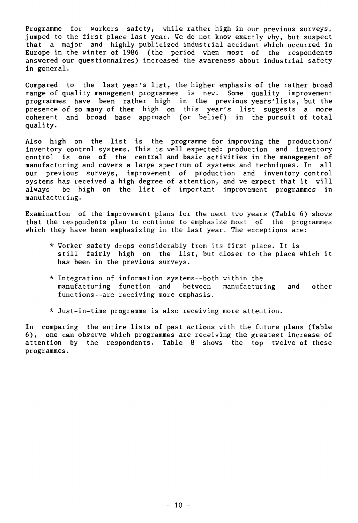Programme for workers safety, while rather high in our previous surveys, jumped to the first place last year. We do not know exactly why, but suspect that a major and highly publicized industrial accident which occurred in Europe in the winter of 1986 (the period when most of the respondents answered our questionnaires) increased the awareness about industrial safety in general.

Compared to the last year's list, the higher emphasis of the rather broad range of quality management programmes is new. Some quality improvement programmes have been rather high in the previous years'lists, but the presence of so many of them high on this year's list suggests a more coherent and broad base approach (or belief) in the pursuit of total quality.

Also high on the list is the programme for improving the production/ inventory control systems. This is well expected: production and inventory control is one of the central and basic activities in the management of manufacturing and covers a large spectrum of systems and techniques. In all our previous surveys, improvement of production and inventory control systems has received a high degree of attention, and we expect that it will always be high on the list of important improvement programmes in manufacturing.

Examination of the improvement plans for the next two years (Table 6) shows that the respondents plan to continue to emphasize most of the programmes which they have been emphasizing in the last year. The exceptions are:

- \* Worker safety drops considerably from its first place. It is still fairly high on the list, but closer to the place which it has been in the previous surveys.
- \* Integration of information systems--both within the manufacturing function and between manufacturing and other functions--are receiving more emphasis.
- \* Just-in-time programme is also receiving more attention.

In comparing the entire lists of past actions with the future plans (Table 6), one can observe which programmes are receiving the greatest increase of attention by the respondents. Table 8 shows the top twelve of these programmes.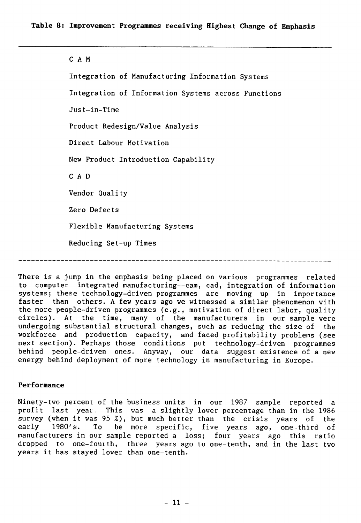### C A M

Integration of Manufacturing Information Systems Integration of Information Systems across Functions Just-in-Time Product Redesign/Value Analysis Direct Labour Motivation New Product Introduction Capability C A D Vendor Quality Zero Defects Flexible Manufacturing Systems Reducing Set-up Times

There is a jump in the emphasis being placed on various programmes related to computer integrated manufacturing--cam, cad, integration of information systems; these technology-driven programmes are moving up in importance faster than others. A few years ago we witnessed a similar phenomenon with the more people-driven programmes (e.g., motivation of direct labor, quality circles). At the time, many of the manufacturers in our sample were undergoing substantial structural changes, such as reducing the size of the workforce and production capacity, and faced profitability problems (see next section). Perhaps those conditions put technology-driven programmes behind people-driven ones. Anyway, our data suggest existence of a new energy behind deployment of more technology in manufacturing in Europe.

### **Performance**

Ninety-two percent of the business units in our 1987 sample reported a profit last year. This was a slightly lower percentage than in the 1986 survey (when it was 95 %), but much better than the crisis years of the early 1980's. To be more specific, five years ago, one-third of be more specific, five years ago, one-third of manufacturers in our sample reported a loss; four years ago this ratio dropped to one-fourth, three years ago to one-tenth, and in the last two years it has stayed lover than one-tenth.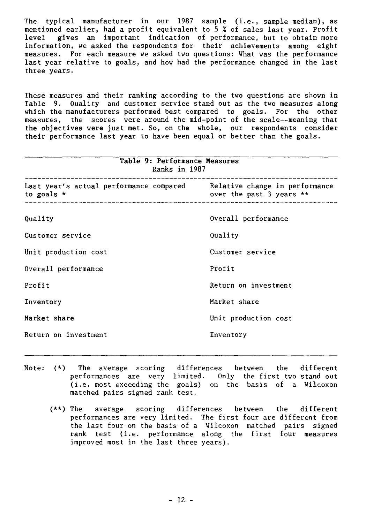The typical manufacturer in our 1987 sample (i.e., sample median), as mentioned earlier, had a profit equivalent to 5 % of sales last year. Profit level gives an important indication of performance, but to obtain more information, we asked the respondents for their achievements among eight measures. For each measure we asked two questions: What was the performance last year relative to goals, and how had the performance changed in the last three years.

These measures and their ranking according to the two questions are shown in Table 9. Quality and customer service stand out as the two measures along which the manufacturers performed best compared to goals. For the other measures, the scores were around the mid-point of the scale--meaning that the objectives were just met. So, on the whole, our respondents consider their performance last year to have been equal or better than the goals.

| Table 9: Performance Measures<br>Ranks in 1987                                             |                          |  |  |
|--------------------------------------------------------------------------------------------|--------------------------|--|--|
| Last year's actual performance compared Relative change in performance<br>to goals $\star$ | over the past 3 years ** |  |  |
| Quality                                                                                    | Overall performance      |  |  |
| Customer service                                                                           | Quality                  |  |  |
| Unit production cost                                                                       | Customer service         |  |  |
| Overall performance                                                                        | Profit                   |  |  |
| Profit                                                                                     | Return on investment     |  |  |
| Inventory                                                                                  | Market share             |  |  |
| Market share                                                                               | Unit production cost     |  |  |
| Return on investment                                                                       | Inventory                |  |  |

- Note:  $(*)$  The average scoring differences between the different<br>performances are very limited. Only the first two stand out performances are very limited. (i.e. most exceeding the goals) on the basis of a Wilcoxon matched pairs signed rank test.
	- (\*\*) The average scoring differences between the different performances are very limited. The first four are different from the last four on the basis of a Wilcoxon matched pairs signed rank test (i.e. performance along the first four measures improved most in the last three years).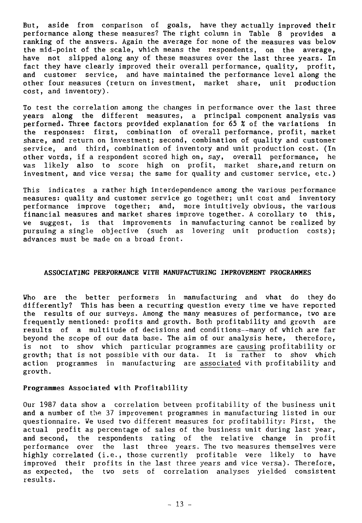But, aside from comparison of goals, have they actually improved their performance along these measures? The right column in Table 8 provides a ranking of the answers. Again the average for none of the measures was below the mid-point of the scale, which means the respondents, on the average, have not slipped along any of these measures over the last three years. In fact they have clearly improved their overall performance, quality, profit, and customer service, and have maintained the performance level along the other four measures (return on investment, market share, unit production cost, and inventory).

To test the correlation among the changes in performance over the last three years along the different measures, a principal component analysis was performed. Three factors provided explanation for 65 % of the variations in the responses: first, combination of overall performance, profit, market share, and return on investment; second, combination of quality and customer service, and third, combination of inventory and unit production cost. (In other words, if a respondent scored high on, say, overall performance, he was likely also to score high on profit, market share,and return on investment, and vice versa; the same for quality and customer service, etc.)

This indicates a rather high interdependence among the various performance measures: quality and customer service go together; unit cost and inventory performance improve together; and, more intuitively obvious, the various financial measures and market shares improve together. A corollary to this, we suggest, is that improvements in manufacturing cannot be realized by pursuing a single objective (such as lowering unit production costs); advances must be made on a broad front.

### **ASSOCIATING PERFORMANCE WITH MANUFACTURING IMPROVEMENT PROGRAMMES**

**Who are the** better performers in manufacturing and what do they do differently? This has been a recurring question every time we have reported the results of our surveys. Among the many measures of performance, two are frequently mentioned: profits and growth. Both profitability and growth are results of a multitude of decisions and conditions--many of which are far beyond the scope of our data base. The aim of our analysis here, therefore, is not to show which particular programmes are causing profitability or growth; that is not possible with our data. It is rather to show which action programmes in manufacturing are associated with profitability and growth.

### **Programmes Associated with Profitability**

Our 1987 data show a correlation between profitability of the business unit and a number of the 37 improvement programmes in manufacturing listed in our questionnaire. We used two different measures for profitability: First, the actual profit as percentage of sales of the business unit during last year, and second, the respondents rating of the relative change in profit performance over the last three years. The two measures themselves were highly correlated (i.e., those currently profitable were likely to have improved their profits in the last three years and vice versa). Therefore, as expected, the two sets of correlation analyses yielded consistent results.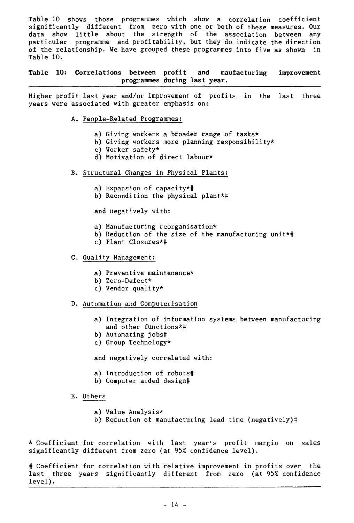Table 10 shows those programmes which show a correlation coefficient significantly different from zero with one or both of these measures. Our data show little about the strength of the association between any particular programme and profitability, but they do indicate the direction of the relationship. We have grouped these programmes into five as shown in Table 10.

**Table 10: Correlations between profit and maufacturing improvement programmes during last year.** 

Higher profit last year and/or improvement of profits in the last three years were associated with greater emphasis on:

- A. People-Related Programmes:
	- a) Giving workers a broader range of tasks\*
	- b) Giving workers more planning responsibility\*
	- c) Worker safety\*
	- d) Motivation of direct labour\*
- B. Structural Changes in Physical Plants:
	- a) Expansion of capacity\*#
	- b) Recondition the physical plant\*#

and negatively with:

- a) Manufacturing reorganisation\*
- b) Reduction of the size of the manufacturing unit\*#
- c) Plant Closures\*#

## C. Quality Management:

- a) Preventive maintenance\*
- b) Zero-Defect\*
- c) Vendor quality\*
- D. Automation and Computerisation
	- a) Integration **of** information systems between manufacturing and other functions\*#
	- b) Automating jobs#
	- c) Group Technology\*

and negatively correlated with:

- a) Introduction of robots#
- b) Computer aided design#
- E. Others
	- a) Value Analysis\*
	- b) Reduction of manufacturing lead time (negatively)#

\* Coefficient for correlation with last year's profit margin on sales significantly different from zero (at 95% confidence level).

# Coefficient for correlation with relative improvement in profits over the last three years significantly different from zero (at 95% confidence level).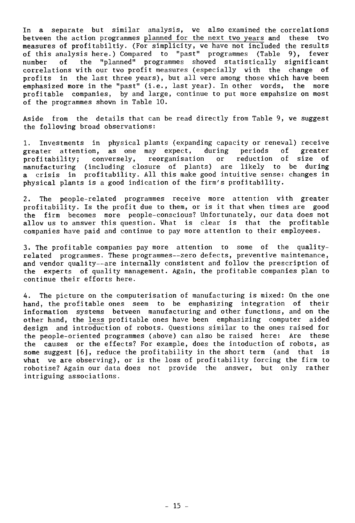In a separate but similar analysis, we also examined the correlations between the action programmes planned for the next two years and these two measures of profitabiltiy. (For simplicity, we have not included the results of this analysis here.) Compared to "past" programmes (Table 9), fewer number of the "planned" programmes showed statistically significant correlations with our two profit measures (especially with the change of profits in the last three years), but all were among those which have been emphasized more in the "past" (i.e., last year). In other words, the more profitable companies, by and large, continue to put more empahsize on most of the programmes shown in Table 10.

Aside from the details that can be read directly from Table 9, we suggest the following broad observations:

1. Investments in physical plants (expanding capacity or renewal) receive<br>greater attention, as one may expect, during periods of greater greater attention, as one may expect, during periods of greater<br>profitability: conversely, reorganisation or reduction of size of profitability; conversely, reorganisation or manufacturing (including closure of plants) are likely to be during a crisis in profitability. All this make good intuitive sense: changes in physical plants is a good indication of the firm's profitability.

2. The people-related programmes receive more attention with greater<br>profitability. Is the profit due to them, or is it that when times are good profitability. Is the profit due to them, or is it that when times are the firm becomes more people-conscious? Unfortunately, our data does not allow us to answer this question. What is clear is that the profitable companies have paid and continue to pay more attention to their employees.

3. The profitable companies pay more attention to some of the qualityrelated programmes. These programmes--zero defects, preventive maintenance, and vendor quality--are internally consistent and follow the prescription of the experts of quality management. Again, the profitable companies plan to continue their efforts here.

4. The picture on the computerisation of manufacturing is mixed: On the one hand, the profitable ones seem to be emphasizing integration of their information systems between manufacturing and other functions, and on the other hand, the less profitable ones have been emphasizing computer aided design and introduction of robots. Questions similar to the ones raised for the people-oriented programmes (above) can also be raised here: Are these the causes or the effects? For example, does the intoduction of robots, as some suggest [6], reduce the profitability in the short term (and that is what we are observing), or is the loss of profitability forcing the firm to robotise? Again our data does not provide the answer, but only rather intriguing associations.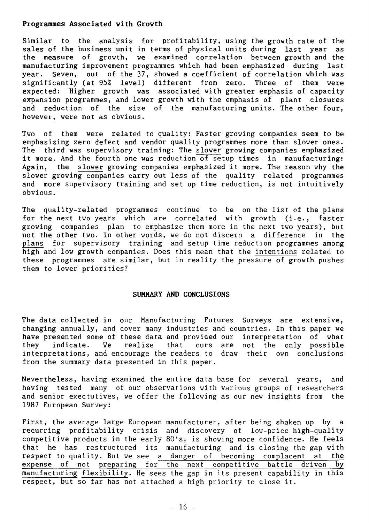### **Programmes Associated with Growth**

Similar to the analysis for profitability, using the growth rate of the sales of the business unit in terms of physical units during last year as the measure of growth, we examined correlation between growth and the manufacturing improvement programmes which had been emphasized during last year. Seven, out of the 37, showed a coefficient of correlation which was significantly (at 95% level) different from zero. Three of them were expected: Higher growth was associated with greater emphasis of capacity expansion programmes, and lover growth with the emphasis of plant closures and reduction of the size of the manufacturing units. The other four, however, were not as obvious.

Two of them were related to quality: Faster growing companies seem to be emphasizing zero defect and vendor quality programmes more than slower ones. The third was supervisory training: The slower growing companies **emphasized**  it more. And the fourth one was reduction of setup times in manufacturing: Again, the slower growing companies emphasized it more. The reason why the slower growing companies carry out less of the quality related programmes and more supervisory training and set up time reduction, is not intuitively obvious.

The quality-related programmes continue to be on the list of the plans for the next two years which are correlated with growth (i.e., faster growing companies plan to emphasize them more in the next two years), but not the other two. In other words, we do not discern a difference in the plans for supervisory training and setup time reduction programmes among high and low growth companies. Does this mean that the intentions related to these programmes are similar, but in reality the pressure of growth pushes them to lover priorities?

### **SUMNARY AND CONCLUSIONS**

The data collected in our Manufacturing Futures Surveys are extensive, changing annually, and cover many industries and countries. In this paper we have presented some of these data and provided our interpretation of what<br>they indicate. We realize that ours are not the only possible they indicate. We realize that ours are not the only possible interpretations, and encourage the readers to draw their own conclusions from the summary data presented in this paper.

Nevertheless, having examined the entire data base for several years, and having tested many of our observations with various groups of researchers and senior exectutives, we offer the following as our new insights from the 1987 European Survey:

First, the average large European manufacturer, after being shaken up by a recurring profitability crisis and discovery of low-price high-quality competitive products in the early 80's, is showing more confidence. He feels that he has restructured its manufacturing and is closing the gap with respect to quality. But we see a danger of becoming complacent at the<br>expense of not preparing for the next competitive battle driven by expense of not preparing for the next competitive battle driven manufacturing flexibility. He sees the gap in its present capability in this respect, but so far has not attached a high priority to close it.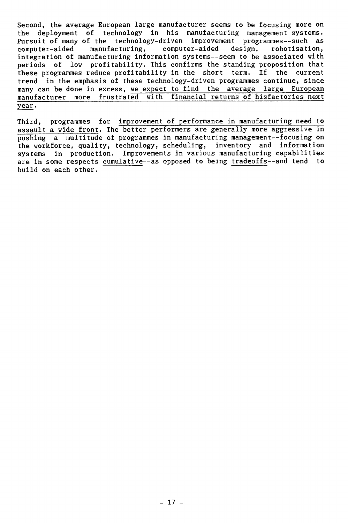Second, the average European large manufacturer seems to be focusing more on the deployment of technology in his manufacturing management systems. Pursuit of many of the technology-driven improvement programmes--such as computer-aided manufacturing, computer-aided design, robotisation, manufacturing, computer-aided integration of manufacturing information systems--seem to be associated with periods of low profitability. This confirms the standing proposition that these programmes reduce profitability in the short term. If the current trend in the emphasis of these technology-driven programmes continue, since many can be done in excess, we expect to find the average large European manufacturer more frustrated with financial returns of hisfactories next year.

Third, programmes for improvement of performance in manufacturing need to assault a wide front. The better performers are generally more aggressive in pushing a multitude of programmes in manufacturing management--focusing on the workforce, quality, technology, scheduling, inventory and information systems in production. Improvements in various manufacturing capabilities are in some respects cumulative--as opposed to being tradeoffs--and tend to build on each other.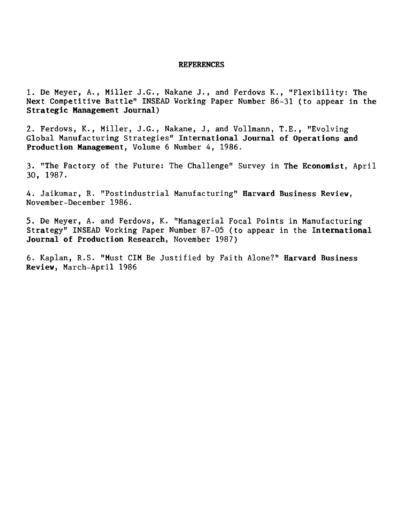#### **REFERENCES**

1. De Meyer, A., Miller J.G., Nakane J., and Ferdows K., "Flexibility: The Next Competitive Battle" INSEAD Working Paper Number 86-31 (to appear in the **Strategic Management Journal)** 

2. Ferdows, K., Miller, J.G., Nakane, J, and Vollmann, T.E., "Evolving Global Manufacturing Strategies" **International Journal of Operations and Production Management,** Volume 6 Number 4, 1986.

3. "The Factory of the Future: The Challenge" Survey in **The Economist,** April 30, 1987.

4. Jaikumar, R. "Postindustrial Manufacturing" **Harvard Business Review,**  November-December 1986.

5. De Meyer, A. and Ferdows, K. "Managerial Focal Points in Manufacturing Strategy" INSEAD Working Paper Number 87-05 (to appear in the **International Journal of Production Research,** November 1987)

6. Kaplan, R.S. "Must CIM Be Justified by Faith Alone?" **Harvard Business Review,** March-April 1986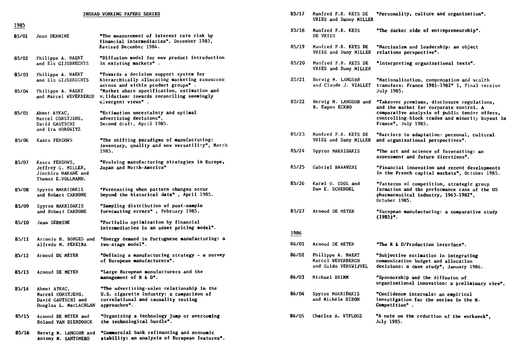|       |                                                                                   | INSEAD VORKING PAPERS SERIES                                                                                                                  | 85/17 | Manfred F.R. KETS DE                                           | "Personality, culture and organiza                                                                                              |
|-------|-----------------------------------------------------------------------------------|-----------------------------------------------------------------------------------------------------------------------------------------------|-------|----------------------------------------------------------------|---------------------------------------------------------------------------------------------------------------------------------|
| 1985  |                                                                                   |                                                                                                                                               |       | VRIES and Danny MILLER                                         |                                                                                                                                 |
| 85/01 | Jean DERMINE                                                                      | "The measurement of interest rate risk by<br>financial intermediaries", December 1983,                                                        | 85/18 | Manfred F.R. KETS<br>DE VRIES                                  | "The darker side of entrepreneursh                                                                                              |
|       |                                                                                   | Revised December 1984.                                                                                                                        | 85/19 | Manfred F.R. KETS DE<br>VRIES and Dany MILLER                  | "Narcissism and leadership: an obj<br>relations perspective".                                                                   |
| 85/02 | Philippe A. NAERT<br>and Els GIJSBRECHTS                                          | "Diffusion model for new product introduction<br>in existing markets".                                                                        | 85/20 | Manfred F.R. KETS DE<br>VRIES and Dany MILLER                  | "Interpreting organizational texts                                                                                              |
| 85/03 | Philippe A. NAERT<br>and Els GIJSBRECHTS                                          | "Towards a decision support system for<br>hierarchically allocating marketing resources<br>across and within product groups".                 | 85/21 | Herwig M. LANGOHR<br>and Claude J. VIALLET                     | "Nationalization, compensation and<br>transfers: France 1981-1982" 1, Fi                                                        |
| 85/04 | Philippe A. NAERT<br>and Marcel WEVERBERGH                                        | "Market share specification, estimation and<br>validation: towards reconciling seemingly                                                      |       |                                                                | July 1985.                                                                                                                      |
| 85/05 | Ahmet AYKAC,                                                                      | divergent views".<br>"Estimation uncertainty and optimal                                                                                      | 85/22 | Herwig M. LANGOHR and<br>B. Espen ECKBO                        | "Takeover premiums, disclosure reg<br>and the market for corporate contr<br>comparative analysis of public ten                  |
|       | Marcel CORSTJENS,<br>David GAUTSCHI<br>and Ira HOROWITZ                           | advertising decisions",<br>Second draft, April 1985.                                                                                          |       |                                                                | controlling-block trades and minor<br>France", July 1985.                                                                       |
| 85/06 | Kasra FERDOWS                                                                     | "The shifting paradigms of manufacturing:<br>inventory, quality and now versatility", March                                                   | 85/23 | Manfred F.R. KETS DE<br>VRIES and Dany MILLER                  | "Barriers to adaptation: personal,<br>and organizational perspectives".                                                         |
|       |                                                                                   | 1985.                                                                                                                                         | 85/24 | Spyros MAKRIDAKIS                                              | "The art and science of forecastin<br>assessment and future directions".                                                        |
| 85/07 | Kasra FERDOWS,<br>Jeffrey G. MILLER,<br>Jinchiro NAKANE and<br>Thomas E.VOLLMANN. | "Evolving manufacturing strategies in Europe,<br>Japan and North-America"                                                                     | 85/25 | Gabriel HAWAWINI                                               | "Financial innovation and recent d<br>in the French capital markets", Oc                                                        |
| 85/08 | Spyros MAKRIDAKIS<br>and Robert CARBONE                                           | "Porecasting when pattern changes occur<br>beyond the historical data", April 1985.                                                           | 85/26 | Karel 0. COOL and<br>Dan E. SCHENDEL                           | "Patterns of competition, strategi<br>formation and the performance case<br>pharmaceutical industry, 1963-1982<br>October 1985. |
| 85/09 | Spyros MAKRIDAKIS<br>and Robert CARBONE                                           | "Sampling distribution of post-sample<br>forecasting errors", February 1985.                                                                  | 85/27 | Arnoud DE MEYER                                                | "European manufacturing: a compara<br>$(1985)$ .                                                                                |
| 85/10 | Jean DERMINE                                                                      | "Portfolio optimization by financial<br>intermediaries in an asset pricing model".                                                            |       |                                                                |                                                                                                                                 |
| 85/11 | Antonio M. BORGES and                                                             | "Energy demand in Portuguese manufacturing: a                                                                                                 | 1986  |                                                                |                                                                                                                                 |
|       | Alfredo M. PEREIRA                                                                | two-stage model".                                                                                                                             | 86/01 | Arnoud DE MEYER                                                | "The R & D/Production interface".                                                                                               |
| 85/12 | Arnoud DE MEYER                                                                   | "Defining a manufacturing strategy – a survey<br>of European manufacturers".                                                                  | 86/02 | Philippe A. NAERT<br>Marcel WEVERBERGH<br>and Guido VERSWIJVEL | "Subjective estimation in integrat<br>communication budget and allocatio<br>decisions: a case study", January                   |
| 85/13 | Arnoud DE MEYER                                                                   | "Large European manufacturers and the<br>management of R & D".                                                                                | 86/03 | Michael BRIMM                                                  | "Sponsorship and the diffusion of<br>organizational innovation: a preli                                                         |
| 85/14 | Ahmet AYKAC,<br>Marcel CORSTJENS,<br>David GAUTSCHI and<br>Douglas L. MacLACHLAN  | "The advertising-sales relationship in the<br>U.S. cigarette industry: a comparison of<br>correlational and causality testing<br>approaches". | 86/04 | Spyros MAKRIDAKIS<br>and Michèle HIBON                         | "Confidence intervals: an empirica<br>investigation for the series in th<br>Competition".                                       |
| 85/15 | Arnoud DE MEYER and<br>Roland VAN DIERDONCK                                       | "Organizing a technology jump or overcoming<br>the technological hurdle".                                                                     | 86/05 | Charles A. WYPLOSZ                                             | "A note on the reduction of the wo<br><b>July 1985.</b>                                                                         |
| 85/16 | Hervig M. LANGOHR and<br>Antony M. SANTOMERO                                      | "Commercial bank refinancing and economic<br>stability: an analysis of European features".                                                    |       |                                                                |                                                                                                                                 |

| <b>VORKING PAPERS SERIES</b>                                                                                                                                                                                              | 85/17         | Manfred F.R. KETS DE<br>VRIES and Danny MILLER                 | "Personality, culture and organization".                                                                                                                                                   |
|---------------------------------------------------------------------------------------------------------------------------------------------------------------------------------------------------------------------------|---------------|----------------------------------------------------------------|--------------------------------------------------------------------------------------------------------------------------------------------------------------------------------------------|
| "The measurement of interest rate risk by<br>financial intermediaries", December 1983,                                                                                                                                    | 85/18         | Manfred F.R. KETS<br>DE VRIES                                  | "The darker side of entrepreneurship".                                                                                                                                                     |
| <b>Revised December 1984.</b>                                                                                                                                                                                             | 85/19         | Manfred F.R. KETS DE<br>VRIES and Dany MILLER                  | "Narcissism and leadership: an object<br>relations perspective".                                                                                                                           |
| "Diffusion model for new product introduction<br>in existing markets".                                                                                                                                                    | 85/20         | Manfred F.R. KETS DE<br>VRIES and Dany MILLER                  | "Interpreting organizational texts".                                                                                                                                                       |
| "Towards a decision support system for<br>hierarchically allocating marketing resources<br>across and within product groups".<br>"Market share specification, estimation and<br>validation: towards reconciling seemingly | 85/21         | Herwig M. LANGOHR<br>and Claude J. VIALLET                     | "Nationalization, compensation and wealth<br>transfers: France 1981-1982" 1, Final version<br>July 1985.                                                                                   |
| divergent views".<br>"Estimation uncertainty and optimal<br>advertising decisions",                                                                                                                                       | 85/22         | Herwig M. LANGOHR and<br><b>B. Espen ECKBO</b>                 | "Takeover premiums, disclosure regulations,<br>and the market for corporate control. A<br>comparative analysis of public tender offers,<br>controlling-block trades and minority buyout in |
| Second draft, April 1985.                                                                                                                                                                                                 |               |                                                                | France", July 1985.                                                                                                                                                                        |
| "The shifting paradigms of manufacturing:<br>inventory, quality and now versatility", March                                                                                                                               | 85/23         | Manfred F.R. KETS DE<br>VRIES and Dany MILLER                  | "Barriers to adaptation: personal, cultural<br>and organizational perspectives".                                                                                                           |
| 1985.                                                                                                                                                                                                                     | 85/24         | Spyros MAKRIDAKIS                                              | "The art and science of forecasting: an<br>assessment and future directions".                                                                                                              |
| "Evolving manufacturing strategies in Europe,<br>Japan and North-America"                                                                                                                                                 | 85/25         | Gabriel HAWAWINI                                               | "Financial innovation and recent developments<br>in the French capital markets", October 19B5.                                                                                             |
| "Forecasting when pattern changes occur<br>beyond the historical data", April 1985.                                                                                                                                       | 85/26         | Karel 0. COOL and<br>Dan E. SCHENDEL                           | "Patterns of competition, strategic group<br>formation and the performance case of the US<br>pharmaceutical industry, 1963–1982".<br>October 1985.                                         |
| "Sampling distribution of post-sample<br>forecasting errors", February 1985.                                                                                                                                              | 85/27         | Arnoud DE MEYER                                                | "European manufacturing: a comparative study<br>$(1985)$ .                                                                                                                                 |
| "Portfolio optimization by financial<br>intermediaries in an asset pricing model".                                                                                                                                        |               |                                                                |                                                                                                                                                                                            |
| "Energy demand in Portuguese manufacturing: a                                                                                                                                                                             | 1986<br>86/01 |                                                                |                                                                                                                                                                                            |
| two-stage model".                                                                                                                                                                                                         |               | Arnoud DE MEYER                                                | "The R & D/Production interface".                                                                                                                                                          |
| "Defining a manufacturing strategy - a survey<br>of European manufacturers".                                                                                                                                              | 86/02         | Philippe A. NAERT<br>Marcel WEVERBERGH<br>and Guido VERSWIJVEL | "Subjective estimation in integrating<br>communication budget and allocation<br>decisions: a case study", January 1986.                                                                    |
| "Large European manufacturers and the<br>management of R & D".                                                                                                                                                            | 86/03         | Michael BRIMM                                                  | "Sponsorship and the diffusion of<br>organizational innovation: a preliminary view".                                                                                                       |
| "The advertising-sales relationship in the<br>U.S. cigarette industry: a comparison of<br>correlational and causality testing<br>approaches".                                                                             | 86/04         | Spyros MAKRIDAKIS<br>and Michèle HIBON                         | "Confidence intervals: an empirical<br>investigation for the series in the M-<br>Competition".                                                                                             |
| "Organizing a technology jump or overcoming<br>the technological hurdle".                                                                                                                                                 | 86/05         | Charles A. WYPLOSZ                                             | "A note on the reduction of the workweek",<br>July 1985.                                                                                                                                   |
|                                                                                                                                                                                                                           |               |                                                                |                                                                                                                                                                                            |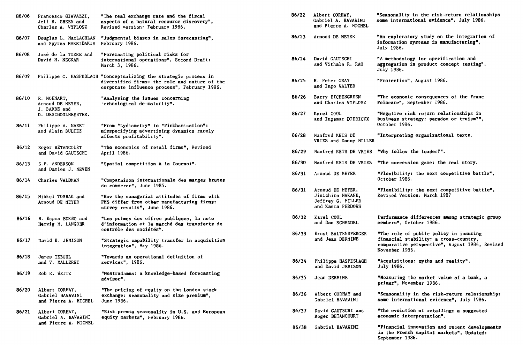| 86/06 | Francesco GIAVAZZI,<br>Jeff R. SHEEN and<br>Charles A. WYPLOSZ         | "The real exchange rate and the fiscal<br>aspects of a natural resource discovery",<br>Revised version: February 1986.                                            |
|-------|------------------------------------------------------------------------|-------------------------------------------------------------------------------------------------------------------------------------------------------------------|
| 86/07 | Douglas L. MacLACHLAN<br>and Spyros MAKRIDAKIS                         | "Judgmental biases in sales forecasting",<br>February 1986.                                                                                                       |
| 86/08 | José de la TORRE and<br>David H. NECKAR                                | "Forecasting political risks for<br>international operations", Second Draft:<br>March 3, 1986.                                                                    |
| 86/09 |                                                                        | Philippe C. HASPESLAGH "Conceptualizing the strategic process in<br>diversified firms: the role and nature of the<br>corporate influence process", February 1986. |
| 86/10 | R. MOENART,<br>Arnoud DE MEYER,<br>J. BARBE and<br>D. DESCHOOLMEESTER. | "Analysing the issues concerning<br>"echnological de-maturity".                                                                                                   |
| 86/11 | Philippe A. NAERT<br>and Alain BULTEZ                                  | "From "Lydiametry" to "Pinkhamization":<br>misspecifying advertising dynamics rarely<br>affects profitability".                                                   |
| 86/12 | Roger BETANCOURT<br>and David GAUTSCHI                                 | "The economics of retail firms", Revised<br>April 1986.                                                                                                           |
| 86/13 | S.P. ANDERSON<br>and Damien J. NEVEN                                   | "Spatial competition à la Cournot".                                                                                                                               |
| 86/14 | Charles WALDMAN                                                        | "Comparaison internationale des marges brutes<br>du commerce", June 1985.                                                                                         |
| 86/15 | Mihkel TOMBAK and<br>Arnoud DE MEYER                                   | "How the managerial attitudes of firms with<br>FMS differ from other manufacturing firms:<br>survey results", June 1986.                                          |
| 86/16 | B. Espen ECKBO and<br>Herwig M. LANGOHR                                | "Les primes des offres publiques, la note<br>d'information et le marché des transferts de<br>contrôle des sociétés".                                              |
| 86/17 | David B. JEMISON                                                       | "Strategic capability transfer in acquisition<br>integration", May 1986.                                                                                          |
| 86/18 | James TEBOUL<br>and V. MALLERET                                        | "Towards an operational definition of<br>services", 1986.                                                                                                         |
| 86/19 | Rob R. WEITZ                                                           | "Nostradamus: a knowledge-based forecasting<br>advisor".                                                                                                          |
| 86/20 | Albert CORHAY,<br>Gabriel HAWAWINI<br>and Pierre A. MICHEL             | "The pricing of equity on the London stock<br>exchange: seasonality and size premium",<br>June 1986.                                                              |
| 86/21 | Albert CORHAY,<br>Gabriel A. HAWAWINI<br>and Pierre A. MICHEL          | "Risk-premia seasonality in U.S. and European<br>equity markets", February 1986.                                                                                  |

| 86/22 | Albert CORHAY,<br><b>Gabriel A. HAWAWINI</b><br>and Pierre A. MICHEL            | "Seasonality in the risk-return relationships<br>some international evidence", July 1986.                                                           |
|-------|---------------------------------------------------------------------------------|-----------------------------------------------------------------------------------------------------------------------------------------------------|
| 86/23 | Arnoud DE MEYER                                                                 | "An exploratory study on the integration of<br>information systems in manufacturing",<br>July 1986.                                                 |
| 86/24 | David GAUTSCHI<br>and Vithala R. RAO                                            | "A methodology for specification and<br>aggregation in product concept testing",<br>July 1986.                                                      |
| 86/25 | H. Peter GRAY<br>and Ingo WALTER                                                | <b>"Protection", August 1986.</b>                                                                                                                   |
| 86/26 | Barry EICHENGREEN<br>and Charles WYPLOSZ                                        | "The economic consequences of the Franc<br>Poincare", September 1986.                                                                               |
| 86/27 | Karel COOL<br>and Ingemar DIERICKX                                              | "Negative risk-return relationships in<br>business strategy: paradox or truism?",<br>October 1986.                                                  |
| 86/28 | Manfred KETS DE<br>VRIES and Danny MILLER                                       | "Interpreting organizational texts.                                                                                                                 |
| 86/29 | Manfred KETS DE VRIES                                                           | "Why follow the leader?".                                                                                                                           |
| 86/30 | Manfred KETS DE VRIES                                                           | "The succession game: the real story.                                                                                                               |
| 86/31 | Arnoud DE MEYER                                                                 | "Flexibility: the next competitive battle",<br>October 1986.                                                                                        |
| 86/31 | Arnoud DE MEYER,<br>Jinichiro NAKANE,<br>Jeffrey G. MILLER<br>and Kasra FERDOWS | "Flexibility: the next competitive battle",<br>Revised Version: March 1987                                                                          |
| 86/32 | Karel COOL<br>and Dan SCHENDEL                                                  | Performance differences among strategic group<br>members", October 1986.                                                                            |
| 86/33 | Ernst BALTENSPERGER<br>and Jean DERMINE                                         | "The role of public policy in insuring<br>financial stability: a cross-country,<br>comparative perspective", August 1986, Revised<br>November 1986. |
| 86/34 | Philippe HASPESLAGH<br>and David JEMISON                                        | "Acquisitions: myths and reality",<br>July 1986.                                                                                                    |
| 86/35 | Jean DERMINE                                                                    | "Measuring the market value of a bank, a<br>primer", November 1986.                                                                                 |
| 86/36 | Albert CORHAY and<br>Gabriel HAWAWINI                                           | "Seasonality in the risk-return relationship:<br>some international evidence", July 1986.                                                           |
| 86/37 | David GAUTSCHI and<br>Roger BETANCOURT                                          | "The evolution of retailing: a suggested<br>economic interpretation".                                                                               |
| 86/38 | Gabriel HAWAVINI                                                                | "Financial innovation and recent developments<br>in the French capital markets", Updated:<br>September 1986.                                        |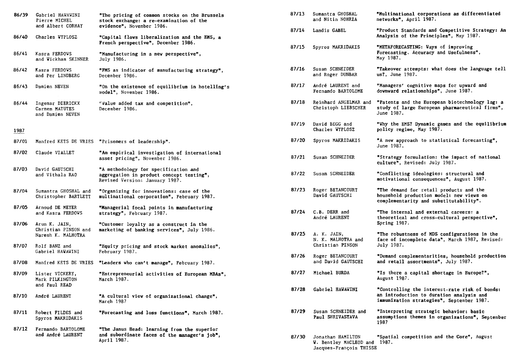| 86/39 | Gabriel HAWAWINI<br>Pierre MICHEL                      | "The pricing of common stocks on the Brussels<br>stock exchange: a re-examination of the                           | 87/13 | Sumantra GHOSHAL<br>and Nitin NOHRIA              | "Multinational corporations as differentiated<br>networks", April 1987.                                                                |
|-------|--------------------------------------------------------|--------------------------------------------------------------------------------------------------------------------|-------|---------------------------------------------------|----------------------------------------------------------------------------------------------------------------------------------------|
| 86/40 | and Albert CORHAY<br>Charles WYPLOSZ                   | evidence", November 1986.<br>"Capital flows liberalization and the EMS, a                                          | 87/14 | Landis GABEL                                      | "Product Standards and Competitive Strategy:<br>Analysis of the Principles", May 1987.                                                 |
| 86/41 | Kasra FERDOWS<br>and Wickham SKINNER                   | French perspective", December 1986.<br>"Manufacturing in a new perspective",<br>July 1986.                         | 87/15 | Spyros MAKRIDAKIS                                 | "METAFORECASTING: Vays of improving<br>Forecasting. Accuracy and Usefulness",<br>May 1987.                                             |
| 86/42 | Kasra FERDOWS<br>and Per LINDBERG                      | "FMS as indicator of manufacturing strategy",<br>December 1986.                                                    | 87/16 | Susan SCHNEIDER<br>and Roger DUNBAR               | "Takeover attempts: what does the language te<br>us?, June 1987.                                                                       |
| 86/43 | Damien NEVEN                                           | "On the existence of equilibrium in hotelling's<br>model". November 1986.                                          | 87/17 | André LAURENT and<br>Fernando BARTOLOME           | "Managers' cognitive maps for upward and<br>downward relationships", June 1987.                                                        |
| 86/44 | Ingemar DIERICKX<br>Carmen MATUTES<br>and Damien NEVEN | "Value added tax and competition",<br>December 1986.                                                               | 87/18 | Reinhard ANGELMAR and<br>Christoph LIEBSCHER      | "Patents and the European biotechnology lag:<br>study of large European pharmaceutical firms"<br>June 1987.                            |
| 1987  |                                                        |                                                                                                                    | 87/19 | David BEGG and<br>Charles WYPLOSZ                 | "Why the EMS? Dynamic games and the equilibri<br>policy regime, May 1987.                                                              |
| 87/01 |                                                        | Manfred KETS DE VRIES "Prisoners of leadership".                                                                   | 87/20 | Spyros MAKRIDAKIS                                 | "A new approach to statistical forecasting",<br>June 1987.                                                                             |
| 87/02 | Claude VIALLET                                         | "An empirical investigation of international<br>asset pricing", November 1986.                                     | 87/21 | Susan SCHNEIDER                                   | "Strategy formulation: the impact of national<br>culture", Revised: July 1987.                                                         |
| 87/03 | David GAUTSCHI<br>and Vithala RAO                      | "A methodology for specification and<br>aggregation in product concept testing",<br>Revised Version: January 1987. | 87/22 | Susan SCHNEIDER                                   | "Conflicting ideologies: structural and<br>motivational consequences", August 1987.                                                    |
| 87/04 | Sumantra GHOSHAL and<br>Christopher BARTLETT           | "Organizing for innovations: case of the<br>multinational corporation", February 1987.                             | 87/23 | Roger BETANCOURT<br>David GAUTSCHI                | "The demand for retail products and the<br>household production model: new views on<br>complementarity and substitutability".          |
| 87/05 | Arnoud DE MEYER<br>and Kasra FERDOVS                   | "Managerial focal points in manufacturing<br>strategy", February 1987.                                             | 87/24 | C.B. DERR and<br>André LAURENT                    | "The internal and external careers: a<br>theoretical and cross-cultural perspective",                                                  |
| 87/06 | Arun K. JAIN,<br>Christian PINSON and                  | "Customer loyalty as a construct in the<br>marketing of banking services", July 1986.                              | 87/25 | A. K. JAIN,                                       | Spring 1987.<br>"The robustness of MDS configurations in the                                                                           |
|       | Naresh K. MALHOTRA<br>87/07 Rolf BANZ and              | "Equity pricing and stock market anomalies".                                                                       |       | N. K. MALHOTRA and<br>Christian PINSON            | face of incomplete data", March 1987, Revised<br>July 1987.                                                                            |
|       | Gabriel HAWAWINI                                       | February 1987.                                                                                                     | 87/26 | Roger BETANCOURT<br>and David GAUTSCHI            | "Demand complementarities, household producti<br>and retail assortments", July 1987.                                                   |
| 87/08 | Manfred KETS DE VRIES                                  | "Leaders who can't manage", February 1987.                                                                         |       |                                                   |                                                                                                                                        |
| 87/09 | Lister VICKERY,<br>Mark PILKINGTON<br>and Paul READ    | "Entrepreneurial activities of European MBAs",<br>March 1987.                                                      | 87/27 | Michael BURDA                                     | "Is there a capital shortage in Europe?",<br>August 1987.                                                                              |
| 87/10 | André LAURENT                                          | "A cultural view of organizational change",<br>March 1987                                                          | 87/28 | Gabriel HAWAWINI                                  | "Controlling the interest-rate risk of bonds:<br>an introduction to duration analysis and<br>immunization strategies", September 1987. |
| 87/11 | Robert FILDES and<br>Spyros MAKRIDAKIS                 | "Forecasting and loss functions", March 1987.                                                                      | 87/29 | Susan SCHNEIDER and<br>Paul SHRIVASTAVA           | "Interpreting strategic behavior: basic<br>assumptions themes in organizations", Septemb<br>1987                                       |
| 87/12 | Fernando BARTOLOME<br>and André LAURENT                | "The Janus Head: learning from the superior<br>and subordinate faces of the manager's job",<br>April 1987.         | 87/30 | Jonathan HAMILTON<br>W. Bentley MACLEOD and 1987. | "Spatial competition and the Core", August                                                                                             |

| "The pricing of common stocks on the Brussels<br>stock exchange: a re-examination of the                           | 87/13 | Sumantra GHOSHAL<br>and Nitin NOHRIA                                   | "Multinational corporations as differentiated<br>networks", April 1987.                                                       |
|--------------------------------------------------------------------------------------------------------------------|-------|------------------------------------------------------------------------|-------------------------------------------------------------------------------------------------------------------------------|
| evidence", November 1986.<br>"Capital flows liberalization and the EMS, a                                          | 87/14 | Landis GABEL                                                           | "Product Standards and Competitive Strategy: An<br>Analysis of the Principles", May 1987.                                     |
| French perspective", December 1986.<br>"Manufacturing in a new perspective",                                       | 87/15 | Spyros MAKRIDAKIS                                                      | "METAFORECASTING: Vays of improving<br>Forecasting. Accuracy and Usefulness",                                                 |
| July 1986.                                                                                                         |       |                                                                        | May 1987.                                                                                                                     |
| "FMS as indicator of manufacturing strategy",<br>December 1986.                                                    | 87/16 | Susan SCHNEIDER<br>and Roger DUNBAR                                    | "Takeover attempts: what does the language tell<br>us?, June 1987.                                                            |
| "On the existence of equilibrium in hotelling's<br>model", November 1986.                                          | 87/17 | André LAURENT and<br>Fernando BARTOLOME                                | "Managers' cognitive maps for upward and<br>downward relationships", June 1987.                                               |
| "Value added tax and competition",<br>December 1986.                                                               | 87/18 | Reinhard ANGELMAR and<br>Christoph LIEBSCHER                           | "Patents and the European biotechnology lag: a<br>study of large European pharmaceutical firms",<br>June 1987.                |
|                                                                                                                    | 87/19 | David BEGG and<br>Charles WYPLOSZ                                      | "Why the EMS? Dynamic games and the equilibrium<br>policy regime, May 1987.                                                   |
| "Prisoners of leadership".                                                                                         | 87/20 | Spyros MAKRIDAKIS                                                      | "A new approach to statistical forecasting",<br>June 1987.                                                                    |
| "An empirical investigation of international<br>asset pricing", November 1986.                                     | 87/21 | Susan SCHNEIDER                                                        | "Strategy formulation: the impact of national<br>culture", Revised: July 1987.                                                |
| "A methodology for specification and<br>aggregation in product concept testing",<br>Revised Version: January 1987. | 87/22 | Susan SCHNEIDER                                                        | "Conflicting ideologies: structural and<br>motivational consequences", August 1987.                                           |
| "Organizing for innovations: case of the<br>multinational corporation", February 1987.                             | 87/23 | Roger BETANCOURT<br>David GAUTSCHI                                     | "The demand for retail products and the<br>household production model: new views on<br>complementarity and substitutability". |
| "Managerial focal points in manufacturing<br>strategy", February 1987.                                             | 87/24 | C.B. DERR and<br>André LAURENT                                         | "The internal and external careers: a<br>theoretical and cross-cultural perspective",                                         |
| "Customer loyalty as a construct in the                                                                            |       |                                                                        | Spring 1987.                                                                                                                  |
| marketing of banking services", July 1986.                                                                         | 87/25 | A. K. JAIN,<br>N. K. MALHOTRA and<br>Christian PINSON                  | "The robustness of MDS configurations in the<br>face of incomplete data", March 1987, Revised:<br>July 1987.                  |
| "Equity pricing and stock market anomalies",<br>February 1987.                                                     |       |                                                                        |                                                                                                                               |
| "Leaders who can't manage", February 1987.                                                                         | 87/26 | Roger BETANCOURT<br>and David GAUTSCHI                                 | "Demand complementarities, household production<br>and retail assortments", July 1987.                                        |
| "Entrepreneurial activities of European MBAs",<br>March 1987.                                                      | 87/27 | Michael BURDA                                                          | "Is there a capital shortage in Europe?",<br>August 1987.                                                                     |
|                                                                                                                    | 87/28 | Gabriel HAVAVINI                                                       | "Controlling the interest-rate risk of bonds:                                                                                 |
| "A cultural view of organizational change",<br>March 1987                                                          |       |                                                                        | an introduction to duration analysis and<br>immunization strategies", September 1987.                                         |
| "Forecasting and loss functions", March 1987.                                                                      | 87/29 | Susan SCHNEIDER and<br>Paul SHRIVASTAVA                                | "Interpreting strategic behavior: basic<br>assumptions themes in organizations", September<br>1987                            |
| "The Janus Head: learning from the superior<br>and subordinate faces of the manager's job",<br>April 1987.         | 87/30 | Jonathan HAMILTON<br>W. Bentley MACLEOD and<br>Jacques-François THISSE | "Spatial competition and the Core", August<br>1987.                                                                           |